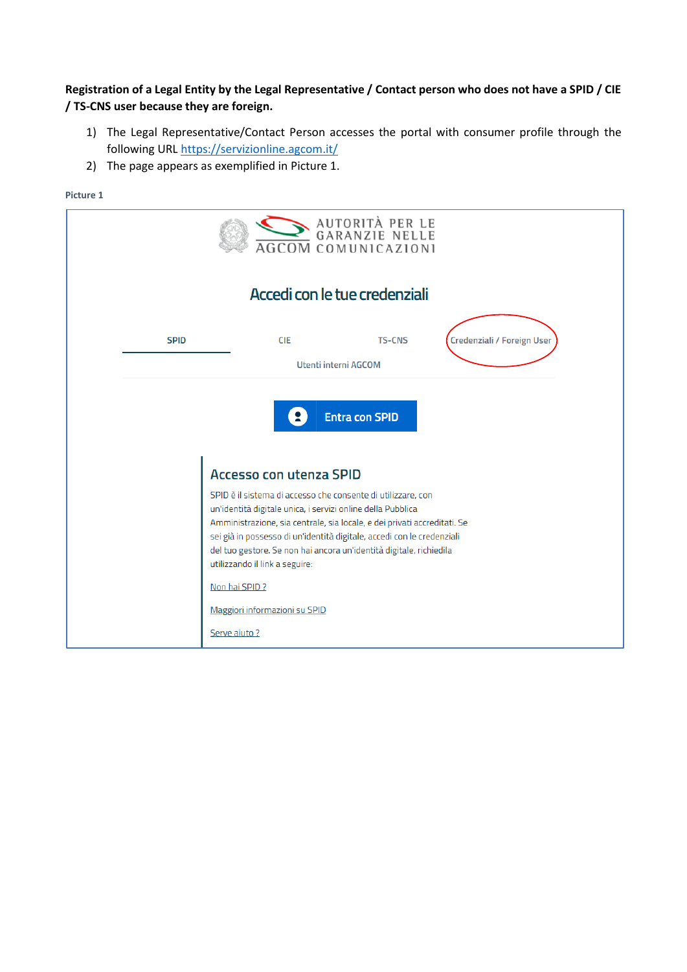### **Registration of a Legal Entity by the Legal Representative / Contact person who does not have a SPID / CIE / TS-CNS user because they are foreign.**

- 1) The Legal Representative/Contact Person accesses the portal with consumer profile through the following URL <https://servizionline.agcom.it/>
- 2) The page appears as exemplified in Picture 1.

| AUTORITÀ PER LE<br>GARANZIE NELLE<br><b>AGCOM COMUNICAZIONI</b> |                                                                                                                                                                                                                                                                                                                                                                                            |  |  |  |  |  |  |
|-----------------------------------------------------------------|--------------------------------------------------------------------------------------------------------------------------------------------------------------------------------------------------------------------------------------------------------------------------------------------------------------------------------------------------------------------------------------------|--|--|--|--|--|--|
|                                                                 | Accedi con le tue credenziali                                                                                                                                                                                                                                                                                                                                                              |  |  |  |  |  |  |
| <b>SPID</b>                                                     | Credenziali / Foreign User<br><b>CIE</b><br><b>TS-CNS</b>                                                                                                                                                                                                                                                                                                                                  |  |  |  |  |  |  |
|                                                                 | Utenti interni AGCOM                                                                                                                                                                                                                                                                                                                                                                       |  |  |  |  |  |  |
|                                                                 | <b>Entra con SPID</b><br><b>Accesso con utenza SPID</b>                                                                                                                                                                                                                                                                                                                                    |  |  |  |  |  |  |
|                                                                 | SPID è il sistema di accesso che consente di utilizzare, con<br>un'identità digitale unica, i servizi online della Pubblica<br>Amministrazione, sia centrale, sia locale, e dei privati accreditati. Se<br>sei già in possesso di un'identità digitale, accedi con le credenziali<br>del tuo gestore. Se non hai ancora un'identità digitale, richiedila<br>utilizzando il link a seguire: |  |  |  |  |  |  |
|                                                                 | Non hai SPID?                                                                                                                                                                                                                                                                                                                                                                              |  |  |  |  |  |  |
|                                                                 | Maggiori informazioni su SPID                                                                                                                                                                                                                                                                                                                                                              |  |  |  |  |  |  |
|                                                                 | Serve aiuto ?                                                                                                                                                                                                                                                                                                                                                                              |  |  |  |  |  |  |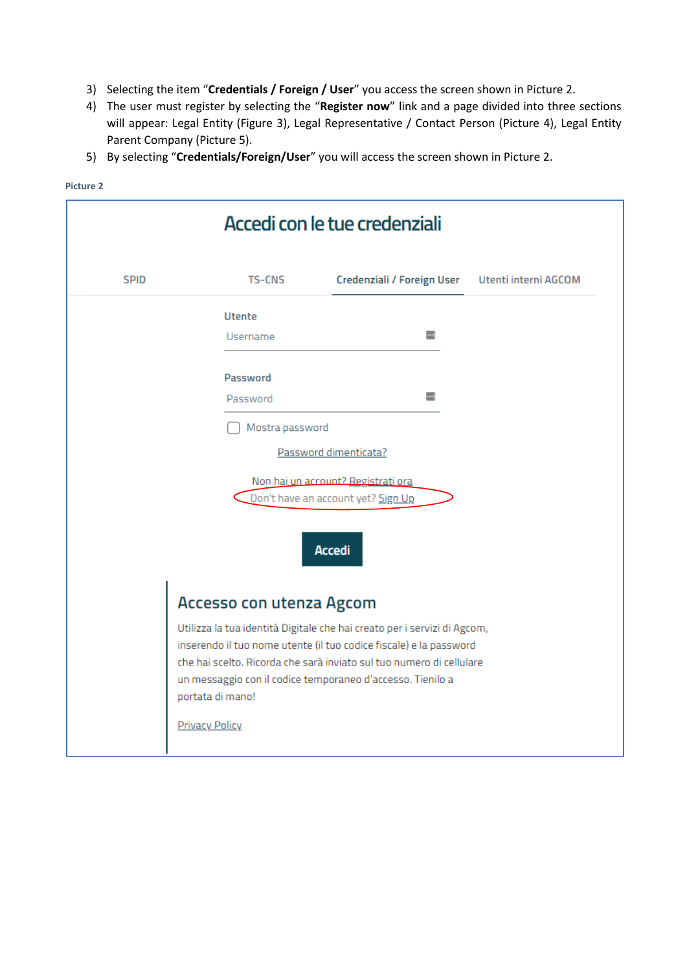- 3) Selecting the item "**Credentials / Foreign / User**" you access the screen shown in Picture 2.
- 4) The user must register by selecting the "**Register now**" link and a page divided into three sections will appear: Legal Entity (Figure 3), Legal Representative / Contact Person (Picture 4), Legal Entity Parent Company (Picture 5).
- 5) By selecting "**Credentials/Foreign/User**" you will access the screen shown in Picture 2.

| Accedi con le tue credenziali |                          |                                                                                                                                                                                                                                                                                      |  |  |  |
|-------------------------------|--------------------------|--------------------------------------------------------------------------------------------------------------------------------------------------------------------------------------------------------------------------------------------------------------------------------------|--|--|--|
| <b>SPID</b>                   | <b>TS-CNS</b>            | Utenti interni AGCOM<br>Credenziali / Foreign User                                                                                                                                                                                                                                   |  |  |  |
|                               | <b>Utente</b>            |                                                                                                                                                                                                                                                                                      |  |  |  |
|                               | <b>Username</b>          | ▥                                                                                                                                                                                                                                                                                    |  |  |  |
|                               | Password                 |                                                                                                                                                                                                                                                                                      |  |  |  |
|                               | Password                 |                                                                                                                                                                                                                                                                                      |  |  |  |
|                               | Mostra password          |                                                                                                                                                                                                                                                                                      |  |  |  |
|                               |                          | Password dimenticata?                                                                                                                                                                                                                                                                |  |  |  |
|                               |                          | Non hai un account? Registrati ora                                                                                                                                                                                                                                                   |  |  |  |
|                               |                          | Don't have an account yet? Sign Up                                                                                                                                                                                                                                                   |  |  |  |
|                               |                          | <b>Accedi</b>                                                                                                                                                                                                                                                                        |  |  |  |
|                               | Accesso con utenza Agcom |                                                                                                                                                                                                                                                                                      |  |  |  |
|                               | portata di mano!         | Utilizza la tua identità Digitale che hai creato per i servizi di Agcom,<br>inserendo il tuo nome utente (il tuo codice fiscale) e la password<br>che hai scelto. Ricorda che sarà inviato sul tuo numero di cellulare<br>un messaggio con il codice temporaneo d'accesso. Tienilo a |  |  |  |
|                               | <b>Privacy Policy</b>    |                                                                                                                                                                                                                                                                                      |  |  |  |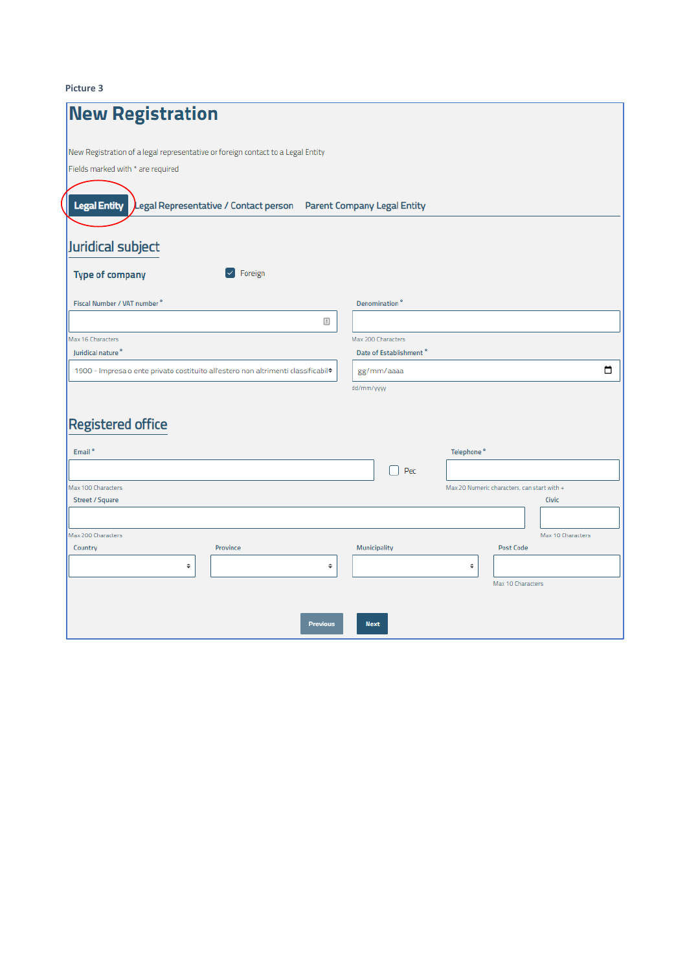| <b>New Registration</b>                                                                       |                                             |
|-----------------------------------------------------------------------------------------------|---------------------------------------------|
| New Registration of a legal representative or foreign contact to a Legal Entity               |                                             |
| Fields marked with * are required                                                             |                                             |
| Legal Representative / Contact person Parent Company Legal Entity<br><b>Legal Entity</b>      |                                             |
| Juridical subject                                                                             |                                             |
| $\vee$ Foreign<br><b>Type of company</b>                                                      |                                             |
| Fiscal Number / VAT number <sup>2</sup>                                                       | Denomination <sup>®</sup>                   |
| $\ensuremath{\stackrel{\text{A}}{:=}}$                                                        |                                             |
| Max 16 Characters                                                                             | Max 200 Characters                          |
| Juridical nature <sup>2</sup>                                                                 | Date of Establishment <sup>®</sup>          |
| 1900 - Impresa o ente privato costituito all'estero non altrimenti classificabil <sup>*</sup> | ▭<br>gg/mm/aaaa                             |
|                                                                                               | dd/mm/yyyy                                  |
| <b>Registered office</b>                                                                      |                                             |
|                                                                                               |                                             |
| Email <sup>*</sup>                                                                            | Telephone <sup>*</sup>                      |
|                                                                                               | Pec                                         |
| Max 100 Characters                                                                            | Max 20 Numeric characters, can start with + |
| Street / Square                                                                               | <b>Civic</b>                                |
|                                                                                               |                                             |
| Max 200 Characters                                                                            | Max 10 Characters                           |
| Province<br>Country                                                                           | Municipality<br><b>Post Code</b>            |
| ¢<br>÷                                                                                        | ¢                                           |
|                                                                                               | Max 10 Characters                           |
|                                                                                               |                                             |
| <b>Previous</b>                                                                               | <b>Next</b>                                 |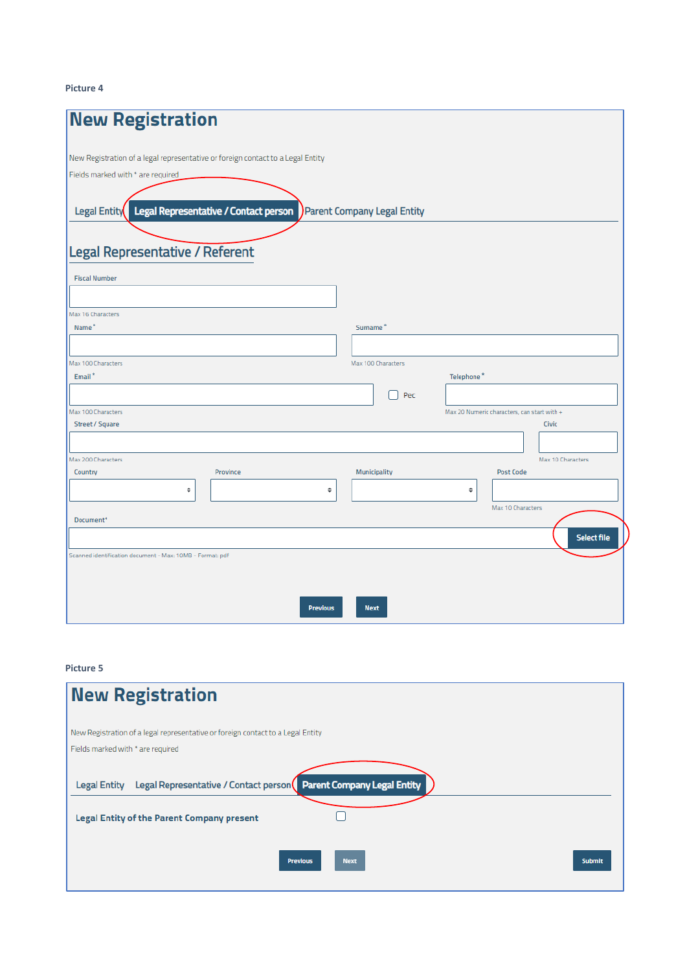| <b>New Registration</b>                                                         |                             |                                             |                   |                    |
|---------------------------------------------------------------------------------|-----------------------------|---------------------------------------------|-------------------|--------------------|
| New Registration of a legal representative or foreign contact to a Legal Entity |                             |                                             |                   |                    |
| Fields marked with * are required                                               |                             |                                             |                   |                    |
| Legal Representative / Contact person<br>Legal Entity                           | Parent Company Legal Entity |                                             |                   |                    |
| Legal Representative / Referent                                                 |                             |                                             |                   |                    |
| <b>Fiscal Number</b>                                                            |                             |                                             |                   |                    |
|                                                                                 |                             |                                             |                   |                    |
| Max 16 Characters                                                               |                             |                                             |                   |                    |
| Name <sup>®</sup>                                                               | Surname <sup>®</sup>        |                                             |                   |                    |
|                                                                                 |                             |                                             |                   |                    |
| Max 100 Characters                                                              | Max 100 Characters          |                                             |                   |                    |
| Email <sup>*</sup>                                                              |                             | Telephone <sup>®</sup>                      |                   |                    |
|                                                                                 | Pec                         |                                             |                   |                    |
| Max 100 Characters<br>Street / Square                                           |                             | Max 20 Numeric characters, can start with + |                   | Civic              |
|                                                                                 |                             |                                             |                   |                    |
| Max 200 Characters                                                              |                             |                                             |                   | Max 10 Characters  |
| Province<br>Country                                                             | Municipality                |                                             | Post Code         |                    |
| ٠<br>¢                                                                          |                             | ¢                                           |                   |                    |
|                                                                                 |                             |                                             | Max 10 Characters |                    |
| Document <sup>*</sup>                                                           |                             |                                             |                   |                    |
|                                                                                 |                             |                                             |                   | <b>Select file</b> |
| Scanned identification document - Max: 10MB - Format: pdf                       |                             |                                             |                   |                    |
|                                                                                 |                             |                                             |                   |                    |
|                                                                                 |                             |                                             |                   |                    |
| <b>Previous</b>                                                                 | <b>Next</b>                 |                                             |                   |                    |

| <b>New Registration</b>                                                                                                                |               |
|----------------------------------------------------------------------------------------------------------------------------------------|---------------|
| New Registration of a legal representative or foreign contact to a Legal Entity                                                        |               |
| Fields marked with * are required                                                                                                      |               |
| Legal Representative / Contact person Parent Company Legal Entity<br><b>Legal Entity</b><br>Legal Entity of the Parent Company present |               |
| <b>Next</b><br><b>Previous</b>                                                                                                         | <b>Submit</b> |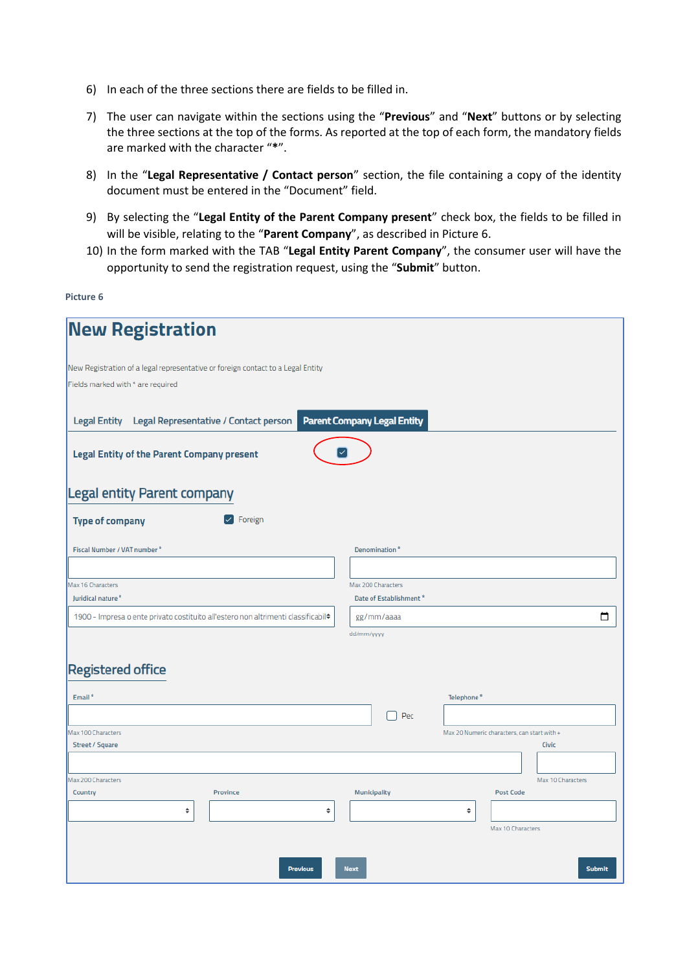- 6) In each of the three sections there are fields to be filled in.
- 7) The user can navigate within the sections using the "**Previous**" and "**Next**" buttons or by selecting the three sections at the top of the forms. As reported at the top of each form, the mandatory fields are marked with the character "**\***".
- 8) In the "**Legal Representative / Contact person**" section, the file containing a copy of the identity document must be entered in the "Document" field.
- 9) By selecting the "**Legal Entity of the Parent Company present**" check box, the fields to be filled in will be visible, relating to the "**Parent Company**", as described in Picture 6.
- 10) In the form marked with the TAB "**Legal Entity Parent Company**", the consumer user will have the opportunity to send the registration request, using the "**Submit**" button.

| <b>New Registration</b>                                                                                              |                                                          |                                                      |               |
|----------------------------------------------------------------------------------------------------------------------|----------------------------------------------------------|------------------------------------------------------|---------------|
| New Registration of a legal representative or foreign contact to a Legal Entity<br>Fields marked with * are required |                                                          |                                                      |               |
| Legal Representative / Contact person<br><b>Legal Entity</b>                                                         | <b>Parent Company Legal Entity</b><br>✓                  |                                                      |               |
| <b>Legal Entity of the Parent Company present</b><br><b>Legal entity Parent company</b>                              |                                                          |                                                      |               |
| Foreign<br><b>Type of company</b>                                                                                    |                                                          |                                                      |               |
| Fiscal Number / VAT number *                                                                                         | Denomination <sup>®</sup>                                |                                                      |               |
| Max 16 Characters<br>Juridical nature <sup>®</sup>                                                                   | Max 200 Characters<br>Date of Establishment <sup>®</sup> |                                                      |               |
| 1900 - Impresa o ente privato costituito all'estero non altrimenti classificabil <sup>*</sup>                        | gg/mm/aaaa<br>dd/mm/yyyy                                 |                                                      | □             |
| <b>Registered office</b>                                                                                             |                                                          |                                                      |               |
| Email <sup>*</sup>                                                                                                   |                                                          | Telephone <sup>*</sup>                               |               |
|                                                                                                                      | Pec                                                      |                                                      |               |
| Max 100 Characters<br>Street / Square                                                                                |                                                          | Max 20 Numeric characters, can start with +<br>Civic |               |
|                                                                                                                      |                                                          |                                                      |               |
| Max 200 Characters                                                                                                   |                                                          | Max 10 Characters                                    |               |
| Province<br>Country                                                                                                  | Municipality                                             | <b>Post Code</b>                                     |               |
| ¢                                                                                                                    | ÷                                                        | ÷<br>Max 10 Characters                               |               |
|                                                                                                                      |                                                          |                                                      |               |
|                                                                                                                      | <b>Previous</b><br><b>Next</b>                           |                                                      | <b>Submit</b> |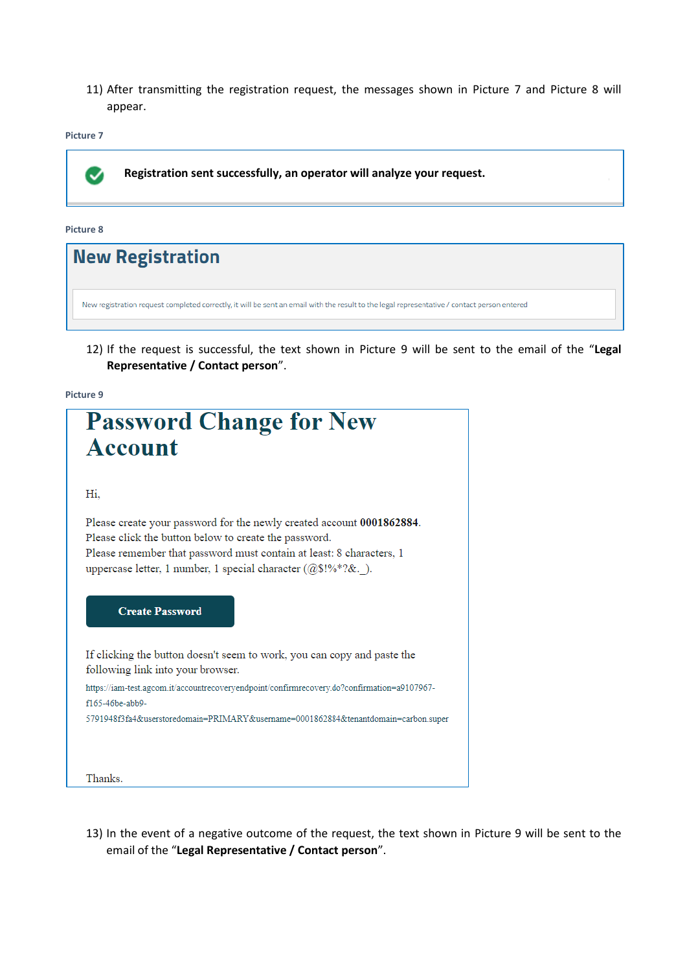11) After transmitting the registration request, the messages shown in Picture 7 and Picture 8 will appear.

**Picture 7**



| <b>New Registration</b>                                                                                                                     |  |
|---------------------------------------------------------------------------------------------------------------------------------------------|--|
| New registration request completed correctly, it will be sent an email with the result to the legal representative / contact person entered |  |

12) If the request is successful, the text shown in Picture 9 will be sent to the email of the "**Legal Representative / Contact person**".

**Picture 9**



13) In the event of a negative outcome of the request, the text shown in Picture 9 will be sent to the email of the "**Legal Representative / Contact person**".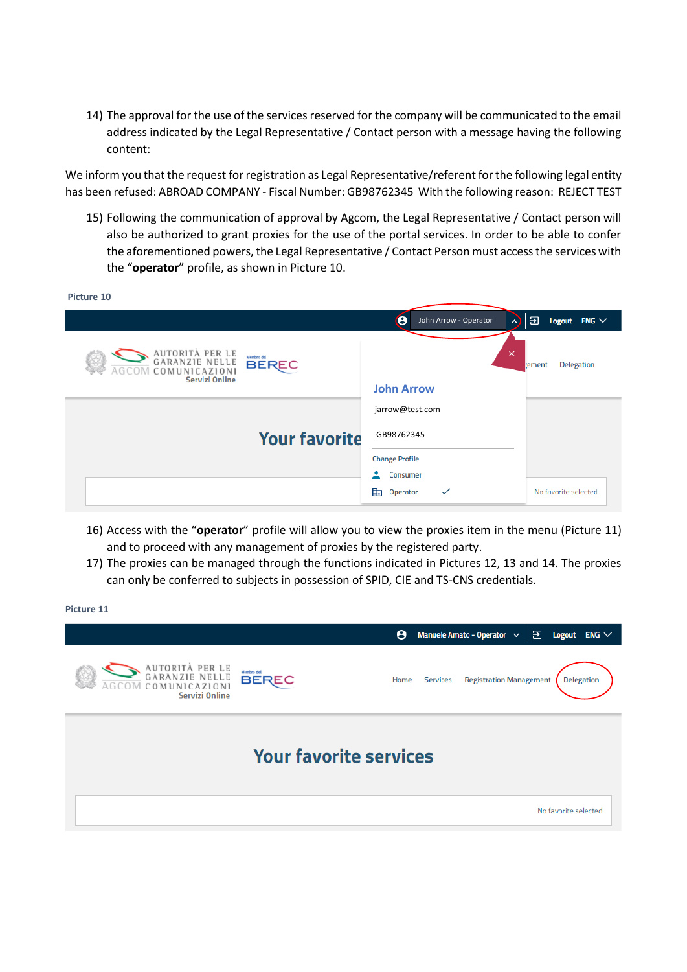14) The approval for the use of the services reserved for the company will be communicated to the email address indicated by the Legal Representative / Contact person with a message having the following content:

We inform you that the request for registration as Legal Representative/referent for the following legal entity has been refused: ABROAD COMPANY - Fiscal Number: GB98762345 With the following reason: REJECT TEST

15) Following the communication of approval by Agcom, the Legal Representative / Contact person will also be authorized to grant proxies for the use of the portal services. In order to be able to confer the aforementioned powers, the Legal Representative / Contact Person must access the services with the "**operator**" profile, as shown in Picture 10.

| Picture 10                                                                  |                            |                                 |                             |
|-----------------------------------------------------------------------------|----------------------------|---------------------------------|-----------------------------|
|                                                                             |                            | θ<br>John Arrow - Operator<br>ㅅ | ච<br>Logout ENG $\vee$      |
| AUTORITÀ PER LE<br>GARANZIE NELLE<br>COMUNICAZIONI<br><b>Servizi Online</b> | Membro del<br><b>BEREC</b> | $\times$<br><b>John Arrow</b>   | <b>Delegation</b><br>tement |
|                                                                             |                            | jarrow@test.com                 |                             |
|                                                                             | <b>Your favorite</b>       | GB98762345                      |                             |
|                                                                             |                            | <b>Change Profile</b>           |                             |
|                                                                             |                            | ٠<br><b>Consumer</b>            |                             |
|                                                                             |                            | 詎<br>Operator<br>$\checkmark$   | No favorite selected        |

- 16) Access with the "**operator**" profile will allow you to view the proxies item in the menu (Picture 11) and to proceed with any management of proxies by the registered party.
- 17) The proxies can be managed through the functions indicated in Pictures 12, 13 and 14. The proxies can only be conferred to subjects in possession of SPID, CIE and TS-CNS credentials.

|                                                                            |              |  | θ    |                 | Manuele Amato - Operator v     | Э | Logout               | $ENG \vee$        |
|----------------------------------------------------------------------------|--------------|--|------|-----------------|--------------------------------|---|----------------------|-------------------|
| AUTORITÀ PER LE<br>GARANZIE NELLE<br>COMUNICAZION<br><b>Servizi Online</b> | <b>BEREC</b> |  | Home | <b>Services</b> | <b>Registration Management</b> |   |                      | <b>Delegation</b> |
| <b>Your favorite services</b>                                              |              |  |      |                 |                                |   |                      |                   |
|                                                                            |              |  |      |                 |                                |   | No favorite selected |                   |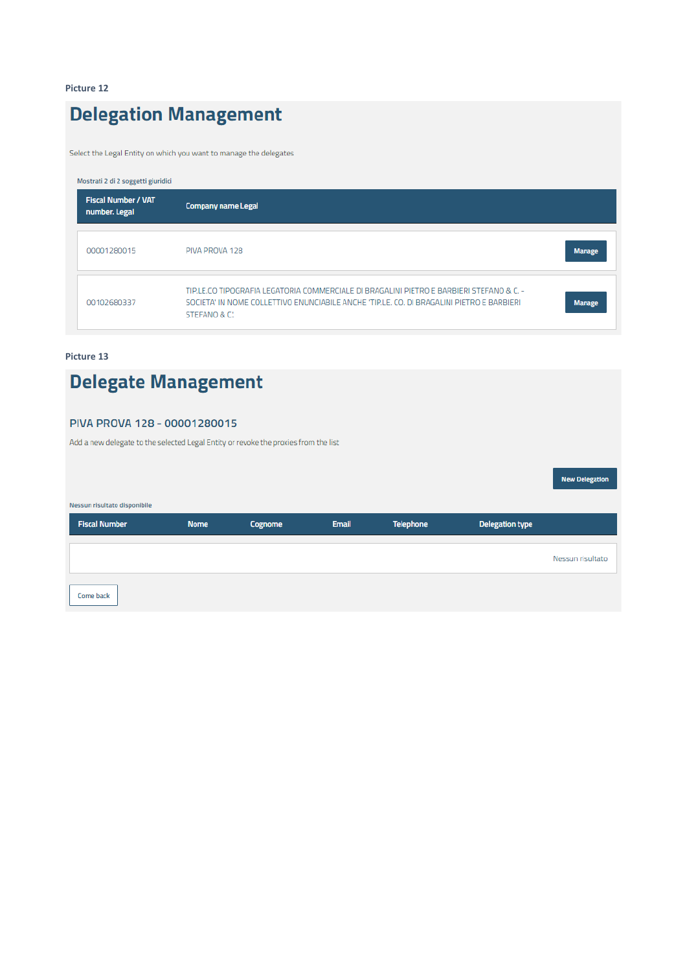### **Delegation Management**

Select the Legal Entity on which you want to manage the delegates

| Mostrati 2 di 2 soggetti giuridici          |                                                                                                                                                                                                       |               |
|---------------------------------------------|-------------------------------------------------------------------------------------------------------------------------------------------------------------------------------------------------------|---------------|
| <b>Fiscal Number / VAT</b><br>number. Legal | <b>Company name Legal</b>                                                                                                                                                                             |               |
| 00001280015                                 | PIVA PROVA 128                                                                                                                                                                                        | <b>Manage</b> |
| 00102680337                                 | TIP.LE.CO TIPOGRAFIA LEGATORIA COMMERCIALE DI BRAGALINI PIETRO E BARBIERI STEFANO & C. -<br>SOCIETA' IN NOME COLLETTIVO ENUNCIABILE ANCHE 'TIP.LE. CO. DI BRAGALINI PIETRO E BARBIERI<br>STEFANO & C. | <b>Manage</b> |

#### **Picture 13**

# **Delegate Management**

### PIVA PROVA 128 - 00001280015

Add a new delegate to the selected Legal Entity or revoke the proxies from the list

|                              |             |                |       |                  |                        | <b>NEW DEIEBRITH</b> |
|------------------------------|-------------|----------------|-------|------------------|------------------------|----------------------|
| Nessun risultato disponibile |             |                |       |                  |                        |                      |
| <b>Fiscal Number</b>         | <b>Nome</b> | <b>Cognome</b> | Email | <b>Telephone</b> | <b>Delegation type</b> |                      |
|                              |             |                |       |                  |                        | Nessun risultato     |
| Come back                    |             |                |       |                  |                        |                      |